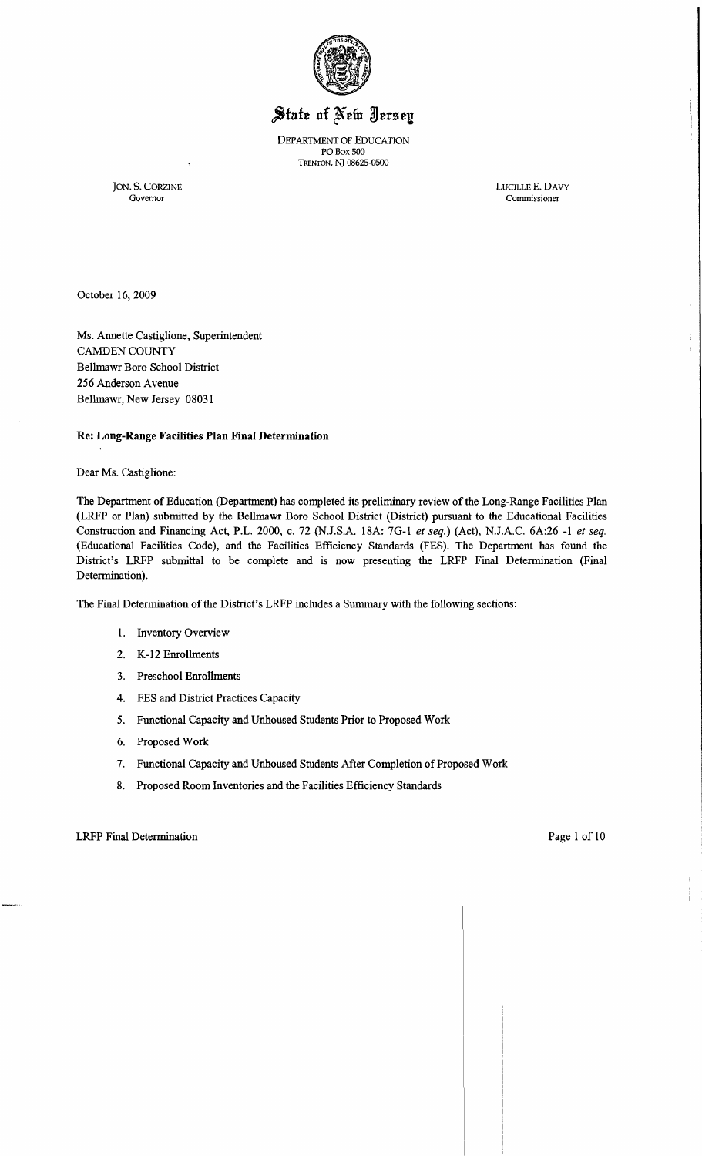

# State of New Jersey

DEPARTMENT OF EDUCATION PO Box 500 TRENTON, NJ 08625-0500

JON. S. CORZINE LUOLLEE. DAVY Commissioner

October 16, 2009

Ms. Annette Castiglione, Superintendent CAMDEN COUNTY Bellmawr Boro School District 256 Anderson Avenue Bellmawr, New Jersey 08031

Re: Long-Range Facilities Plan Final Determination

Dear Ms. Castiglione:

The Department of Education (Department) has completed its preliminary review of the Long-Range Facilities Plan (LRFP or Plan) submitted by the Bellmawr Boro School District (District) pursuant to the Educational Facilities Construction and Financing Act, P.L. 2000, c. 72 (NJ.S.A. 18A: 70-1 *et seq.)* (Act), NJ.A.C. 6A:26 -I *et seq.*  (Educational Facilities Code), and the Facilities Efficiency Standards (FES). The Department has found the District's LRFP submittal to be complete and is now presenting the LRFP Final Determination (Final Determination).

The Final Determination of the District's LRFP includes a Summary with the following sections:

- I. Inventory Overview
- 2. K-12 Enrollments
- 3. Preschool Enrollments
- 4. FES and District Practices Capacity
- 5. Functional Capacity and Unhoused Students Prior to Proposed Work
- 6. Proposed Work
- 7. Functional Capacity and Unhoused Students After Completion of Proposed Work
- 8. Proposed Room Inventories and the Facilities Efficiency Standards

LRFP Final Determination **Page 1** of 10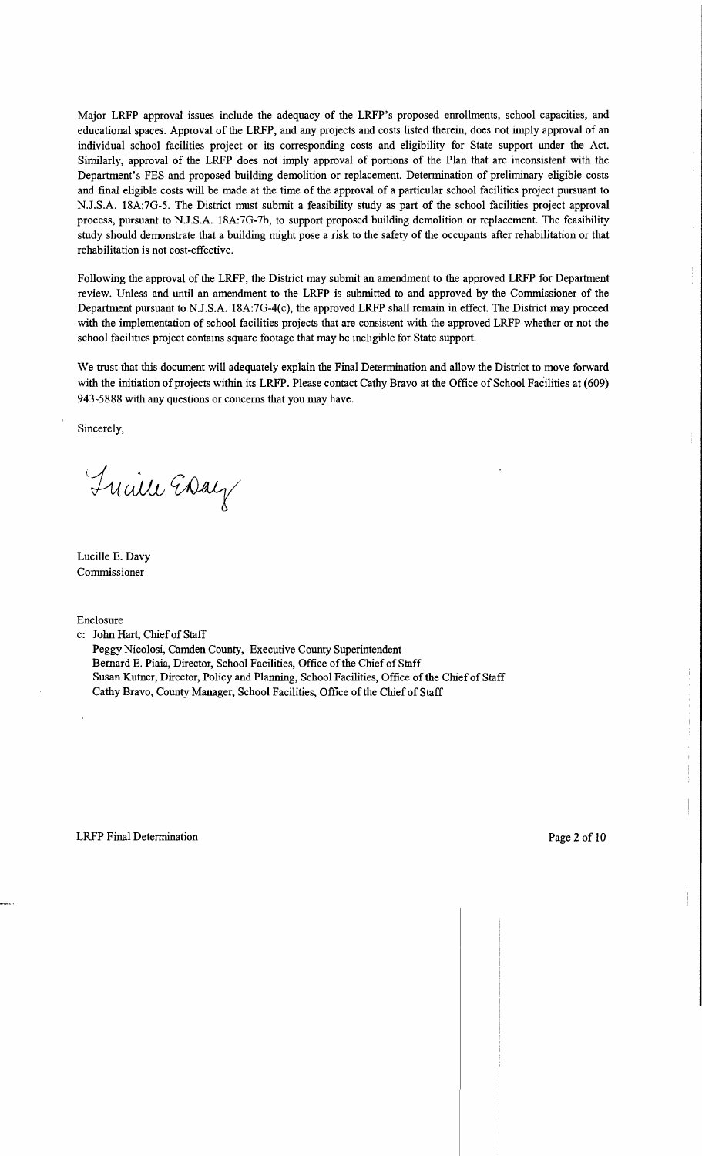Major LRFP approval issues include the adequacy of the LRFP's proposed emollments, school capacities, and educational spaces. Approval of the LRFP, and any projects and costs listed therein, does not imply approval of an individual school facilities project or its corresponding costs and eligibility for State support under the Act. Similarly, approval of the LRFP does not imply approval of portions of the Plan that are inconsistent with the Department's FES and proposed building demolition or replacement. Determination of preliminary eligible costs and final eligible costs will be made at the time of the approval of a particular school facilities project pursuant to N.J.S.A. 18A:7G-5. The District must submit a feasibility study as part of the school facilities project approval process, pursuant to NJ.S.A. 18A:7G-7b, to support proposed building demolition or replacement. The feasibility study should demonstrate that a building might pose a risk to the safety of the occupants after rehabilitation or that rehabilitation is not cost-effective.

Following the approval of the LRFP, the District may submit an amendment to the approved LRFP for Department review. Unless and until an amendment to the LRFP is submitted to and approved by the Commissioner of the Department pursuant to NJ.S.A. 18A:7G-4(c), the approved LRFP shall remain in effect. The District may proceed with the implementation of school facilities projects that are consistent with the approved LRFP whether or not the school facilities project contains square footage that may be ineligible for State support.

We trust that this document will adequately explain the Final Determination and allow the District to move forward with the initiation of projects within its LRFP. Please contact Cathy Bravo at the Office of School Facilities at (609) 943-5888 with any questions or concerns that you may have.

Sincerely,

Tuaille Essay

Lucille E. Davy Commissioner

Enclosure

c: John Hart, Chief of Staff

Peggy Nicolosi, Camden County, Executive County Superintendent Bernard E. Piaia, Director, School Facilities, Office of the Chief of Staff Susan Kutner, Director, Policy and Planning, School Facilities, Office of the Chief of Staff Cathy Bravo, County Manager, School Facilities, Office of the Chief of Staff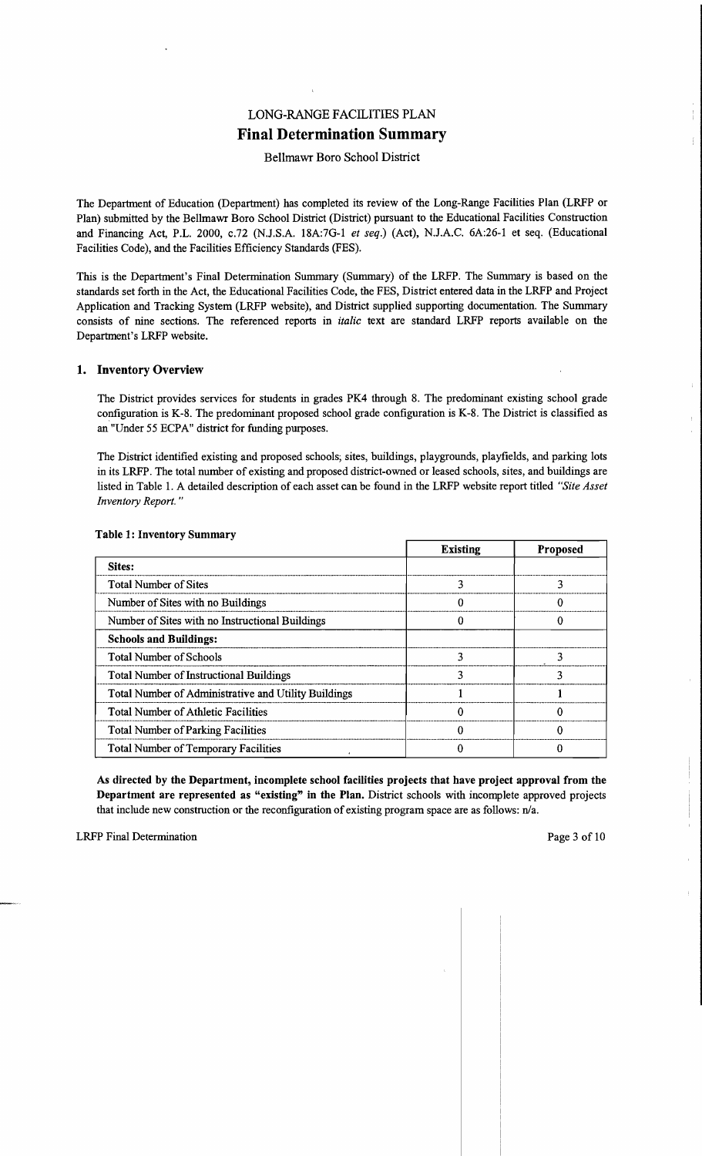## LONG-RANGE FACILITIES PLAN **Final Determination Summary**

#### Bellmawr Boro School District

The Department of Education (Department) has completed its review of the Long-Range Facilities Plan (LRFP or Plan) submitted by the Bellmawr Boro School District (District) pursuant to the Educational Facilities Construction and Financing Act, P.L. 2000, c.72 (NJ.S.A. 18A:7G-l *et seq.)* (Act), NJ.A.C. 6A:26-1 et seq. (Educational Facilities Code), and the Facilities Efficiency Standards (PES).

This is the Department's Final Determination Summary (Summary) of the LRFP. The Summary is based on the standards set forth in the Act, the Educational Facilities Code, the FES, District entered data in the LRFP and Project Application and Tracking System (LRFP website), and District supplied supporting documentation. The Summary consists of nine sections. The referenced reports in *italic* text are standard LRFP reports available on the Department's LRFP website.

#### 1. Inventory Overview

The District provides services for students in grades PK4 through 8. The predominant existing school grade configuration is K-8. The predominant proposed school grade configuration is K-8. The District is classified as an "Under 55 ECPA" district for funding purposes.

The District identified existing and proposed schools; sites, buildings, playgrounds, playfields, and parking lots in its LRFP. The total number of existing and proposed district-owned or leased schools, sites, and buildings are listed in Table 1. A detailed description of each asset can be found in the LRFP website report titled *"Site Asset Inventory Report. "* 

|                                                      | <b>Existing</b> | <b>Proposed</b> |
|------------------------------------------------------|-----------------|-----------------|
| Sites:                                               |                 |                 |
| <b>Total Number of Sites</b>                         |                 |                 |
| Number of Sites with no Buildings                    |                 |                 |
| Number of Sites with no Instructional Buildings      |                 |                 |
| <b>Schools and Buildings:</b>                        |                 |                 |
| <b>Total Number of Schools</b>                       |                 |                 |
| <b>Total Number of Instructional Buildings</b>       |                 | 3               |
| Total Number of Administrative and Utility Buildings |                 |                 |
| <b>Total Number of Athletic Facilities</b>           |                 |                 |
| <b>Total Number of Parking Facilities</b>            |                 |                 |
| <b>Total Number of Temporary Facilities</b>          |                 |                 |

#### Table 1: Inventory Summary

As directed by the Department, incomplete school facilities projects that have project approval from the Department are represented as "existing" in the Plan. District schools with incomplete approved projects that include new construction or the reconfiguration of existing program space are as follows: n/a.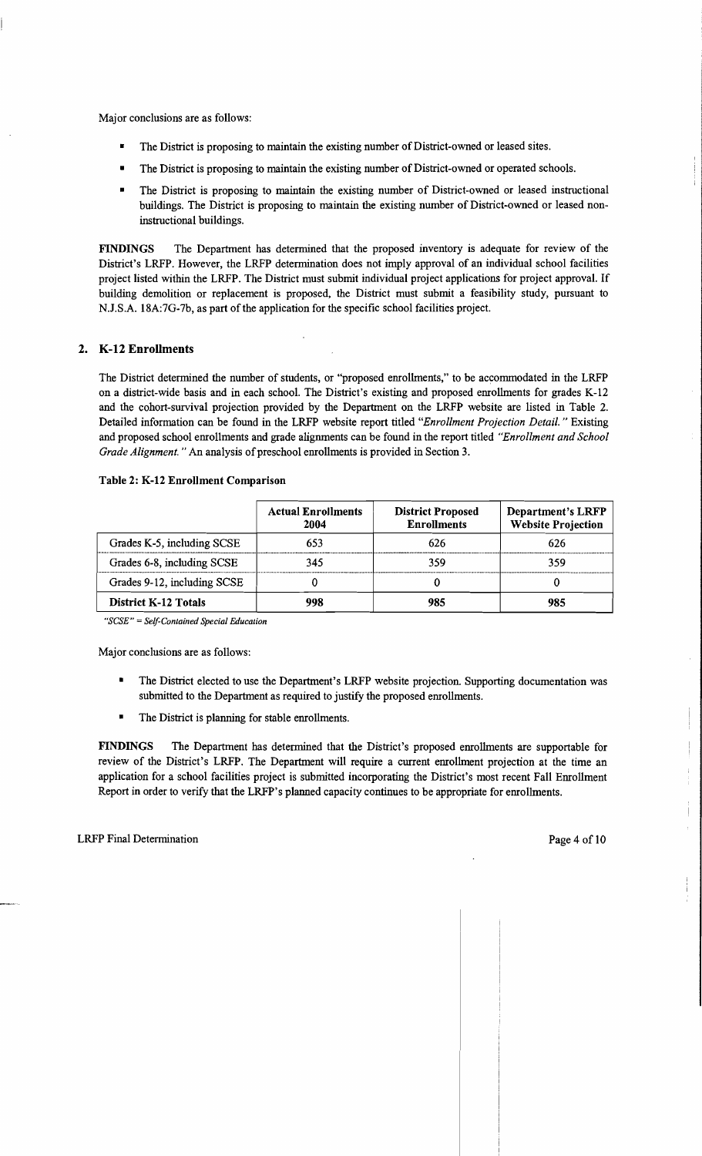Major conclusions are as follows:

- The District is proposing to maintain the existing number of District-owned or leased sites.
- The District is proposing to maintain the existing number of District-owned or operated schools.
- The District is proposing to maintain the existing number of District-owned or leased instructional buildings. The District is proposing to maintain the existing number of District-owned or leased noninstructional buildings.

FINDINGS The Department has determined that the proposed inventory is adequate for review of the District's LRFP. However, the LRFP determination does not imply approval of an individual school facilities project listed within the LRFP. The District must submit individual project applications for project approval. If building demolition or replacement is proposed, the District must submit a feasibility study, pursuant to NJ.S.A. 18A:7G-7b, as part of the application for the specific school facilities project.

### 2. K-12 Enrollments

The District determined the number of students, or "proposed enrollments," to be accommodated in the LRFP on a district-wide basis and in each school. The District's existing and proposed enrollments for grades K-12 and the cohort-survival projection provided by the Department on the LRFP website are listed in Table 2. Detailed information can be found in the LRFP website report titled *"Enrollment Projection Detail.* " Existing and proposed school enrollments and grade alignments can be found in the report titled *"Enrollment and School Grade Alignment.* " An analysis of preschool enrollments is provided in Section 3.

|                             | <b>Actual Enrollments</b><br>2004 | <b>District Proposed</b><br><b>Enrollments</b> | <b>Department's LRFP</b><br><b>Website Projection</b> |
|-----------------------------|-----------------------------------|------------------------------------------------|-------------------------------------------------------|
| Grades K-5, including SCSE  | 653                               | 626                                            | 626                                                   |
| Grades 6-8, including SCSE  | 345                               | 359                                            | 359                                                   |
| Grades 9-12, including SCSE |                                   |                                                |                                                       |
| <b>District K-12 Totals</b> | 998                               | 985                                            | 985                                                   |

#### Table 2: K-12 Enrollment Comparison

*"SCSE"* = *Self-Contained Special Education* 

Major conclusions are as follows:

- The District elected to use the Department's LRFP website projection. Supporting documentation was submitted to the Department as required to justify the proposed enrollments.
- The District is planning for stable enrollments.

FINDINGS The Department has determined that the District's proposed enrollments are supportable for review of the District's LRFP. The Department will require a current enrollment projection at the time an application for a school facilities project is submitted incorporating the District's most recent Fall Enrollment Report in order to verify that the LRFP's planned capacity continues to be appropriate for enrollments.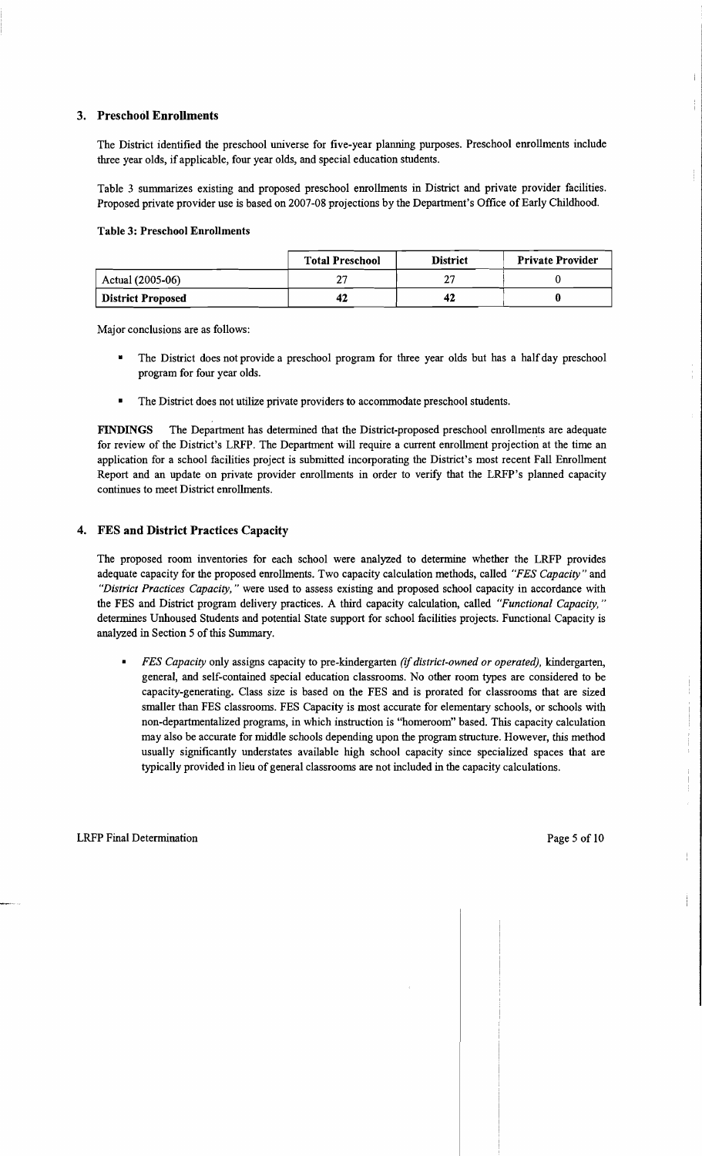## 3. Preschool Enrollments

The District identified the preschool universe for five-year planning purposes. Preschool enrollments include three year olds, if applicable, four year olds, and special education students.

Table 3 summarizes existing and proposed preschool enrollments in District and private provider facilities. Proposed private provider use is based on 2007-08 projections by the Department's Office of Early Childhood.

#### Table 3: Preschool Enrollments

|                          | <b>Total Preschool</b> | <b>District</b> | <b>Private Provider</b> |
|--------------------------|------------------------|-----------------|-------------------------|
| Actual (2005-06)         |                        |                 |                         |
| <b>District Proposed</b> | 42                     | 42              |                         |

Major conclusions are as follows:

- The District does not provide a preschool program for three year olds but has a half day preschool program for four year olds.
- The District does not utilize private providers to accommodate preschool students.

FINDINGS The Department has determined that the District-proposed preschool enrollments are adequate for review of the District's LRFP. The Department will require a current enrollment projection at the time an application for a school facilities project is submitted incorporating the District's most recent Fall Enrollment Report and an update on private provider enrollments in order to verify that the LRFP's planned capacity continues to meet District enrollments.

## 4. FES and District Practices Capacity

The proposed room inventories for each school were analyzed to determine whether the LRFP provides adequate capacity for the proposed enrollments. Two capacity calculation methods, called *"FES Capacity"* and *"District Practices Capacity,* " were used to assess existing and proposed school capacity in accordance with the FES and District program delivery practices. A third capacity calculation, called *"Functional Capacity, "*  determines Unhoused Students and potential State support for school facilities projects. Functional Capacity is analyzed in Section 5 of this Summary.

*• FES Capacity* only assigns capacity to pre-kindergarten (if*district-owned or operated),* kindergarten, general, and self-contained special education classrooms. No other room types are considered to be capacity-generating. Class size is based on the FES and is prorated for classrooms that are sized smaller than FES classrooms. FES Capacity is most accurate for elementary schools, or schools with non-departmentalized programs, in which instruction is "homeroom" based. This capacity calculation may also be accurate for middle schools depending upon the program structure. However, this method usually significantly understates available high school capacity since specialized spaces that are typically provided in lieu of general classrooms are not included in the capacity calculations.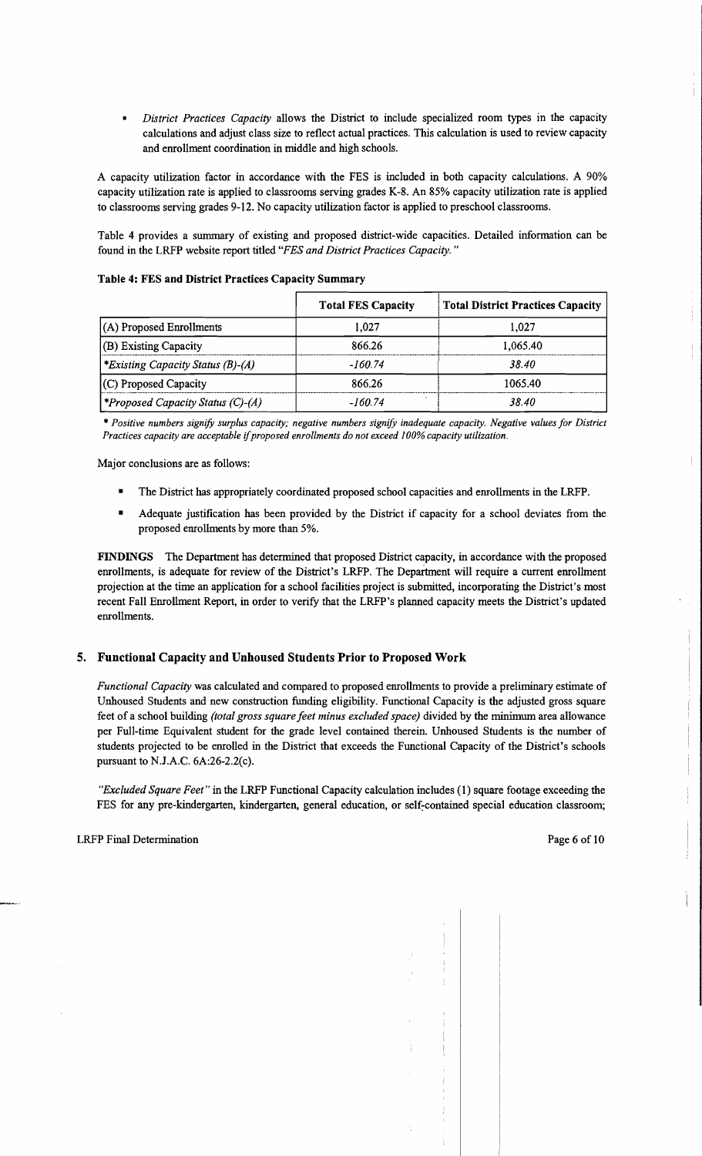*District Practices Capacity* allows the District to include specialized room types in the capacity calculations and adjust class size to reflect actual practices. This calculation is used to review capacity and emollment coordination in middle and high schools.

A capacity utilization factor in accordance with the FES is included in both capacity calculations. A 90% capacity utilization rate is applied to classrooms serving grades K-8. An 85% capacity utilization rate is applied to classrooms serving grades 9-12. No capacity utilization factor is applied to preschool classrooms.

Table 4 provides a summary of existing and proposed district-wide capacities. Detailed information can be found in the LRFP website report titled *"FES and District Practices Capacity. "* 

|                                          | <b>Total FES Capacity</b> | <b>Total District Practices Capacity</b> |
|------------------------------------------|---------------------------|------------------------------------------|
| $(A)$ Proposed Enrollments               | 1.027                     | 1.027                                    |
| (B) Existing Capacity                    | 866.26                    | 1.065.40                                 |
| *Existing Capacity Status (B)-(A)        | -160.74                   | 38.40                                    |
| (C) Proposed Capacity                    | 866.26                    | 1065.40                                  |
| <i>*Proposed Capacity Status (C)-(A)</i> | -160.74                   | 38.40                                    |

Table 4: FES and District Practices Capacity Summary

\* *Positive numbers signify surplus capacity; negative numbers signify inadequate capacity. Negative values for District Practices capacity are acceptable* if*proposed enrollments do not exceed 100% capacity utilization.* 

Major conclusions are as follows:

- The District has appropriately coordinated proposed school capacities and enrollments in the LRFP.
- Adequate justification has been provided by the District if capacity for a school deviates from the proposed emollments by more than 5%.

FINDINGS The Department has determined that proposed District capacity, in accordance with the proposed emollments, is adequate for review of the District's LRFP. The Department will require a current emollment projection at the time an application for a school facilities project is submitted, incorporating the District's most recent Fall Emollment Report, in order to verify that the LRFP's planned capacity meets the District's updated emollments.

### 5. Functional Capacity and Unhoused Students Prior to Proposed Work

*Functional Capacity* was calculated and compared to proposed emollments to provide a preliminary estimate of Unhoused Students and new construction funding eligibility. Functional Capacity is the adjusted gross square feet of a school building *(total gross square feet minus excluded space)* divided by the minimum area allowance per Full-time Equivalent student for the grade level contained therein. Unhoused Students is the number of students projected to be emolled in the District that exceeds the Functional Capacity of the District's schools pursuant to NJ.A.C. 6A:26-2.2(c).

*"Excluded Square Feet"* in the LRFP Functional Capacity calculation includes (1) square footage exceeding the FES for any pre-kindergarten, kindergarten, general education, or self-contained special education classroom;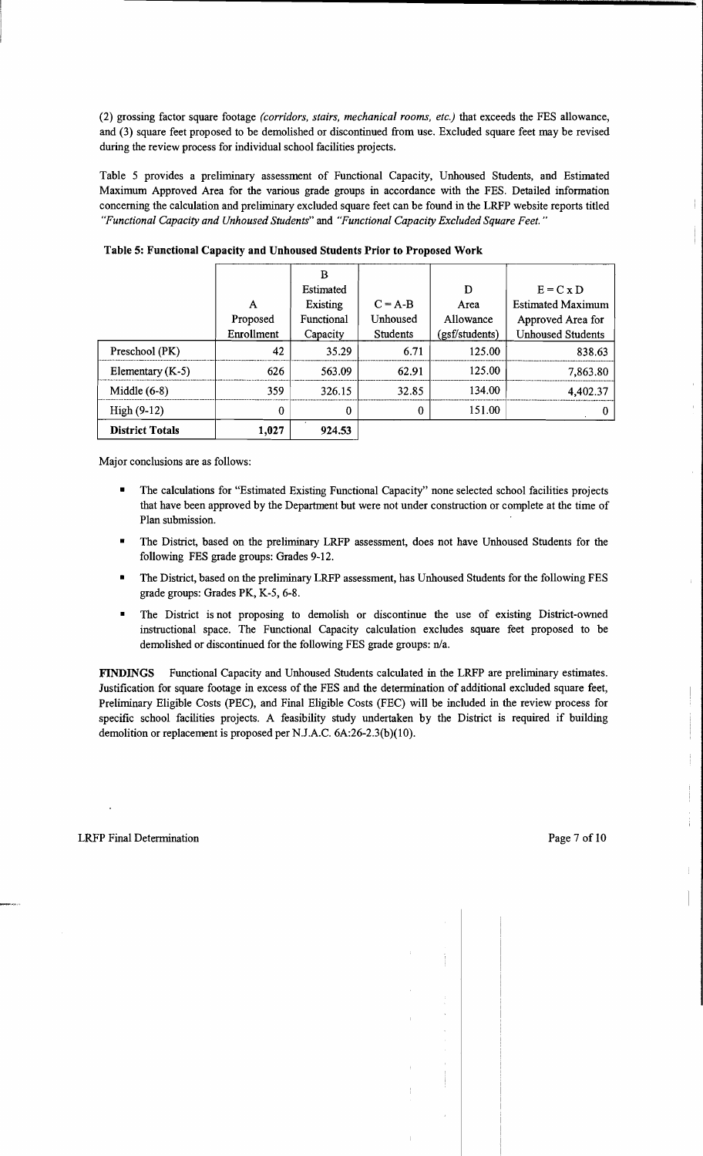(2) grossing factor square footage *(corridors, stairs, mechanical rooms, etc.)* that exceeds the FES allowance, and (3) square feet proposed to be demolished or discontinued from use. Excluded square feet may be revised during the review process for individual school facilities projects.

Table 5 provides a preliminary assessment of Functional Capacity, Unhoused Students, and Estimated Maximum Approved Area for the various grade groups in accordance with the FES. Detailed information concerning the calculation and preliminary excluded square feet can be found in the LRFP website reports titled *"Functional Capacity and Unhoused Students"* and *"Functional Capacity Excluded Square Feet. "* 

|                        |            | B          |           |                |                          |
|------------------------|------------|------------|-----------|----------------|--------------------------|
|                        |            | Estimated  |           | D              | $E = C x D$              |
|                        | A          | Existing   | $C = A-B$ | Area           | <b>Estimated Maximum</b> |
|                        | Proposed   | Functional | Unhoused  | Allowance      | Approved Area for        |
|                        | Enrollment | Capacity   | Students  | (gsf/students) | <b>Unhoused Students</b> |
| Preschool (PK)         | 42         | 35.29      | 6.71      | 125.00         | 838.63                   |
| Elementary $(K-5)$     | 626        | 563.09     | 62.91     | 125.00         | 7,863.80                 |
| Middle $(6-8)$         | 359        | 326.15     | 32.85     | 134.00         | 4,402.37                 |
| $High(9-12)$           | 0          | 0          | 0         | 151.00         |                          |
| <b>District Totals</b> | 1,027      | 924.53     |           |                |                          |

Table 5: Functional Capacity and Unhoused Students Prior to Proposed Work

Major conclusions are as follows:

- The calculations for "Estimated Existing Functional Capacity" none selected school facilities projects that have been approved by the Department but were not under construction or complete at the time of Plan submission.
- The District, based on the preliminary LRFP assessment, does not have Unhoused Students for the following FES grade groups: Grades 9-12.
- The District, based on the preliminary LRFP assessment, has Unhoused Students for the following FES grade groups: Grades PK, K-5, 6-8.
- The District is not proposing to demolish or discontinue the use of existing District-owned instructional space. The Functional Capacity calculation excludes square feet proposed to be demolished or discontinued for the following FES grade groups: n/a.

FINDINGS Functional Capacity and Unhoused Students calculated in the LRFP are preliminary estimates. Justification for square footage in excess of the FES and the determination of additional excluded square feet, Preliminary Eligible Costs (PEC), and Final Eligible Costs (FEC) will be included in the review process for specific school facilities projects. A feasibility study undertaken by the District is required if building demolition or replacement is proposed per N.J.A.C. 6A:26-2.3(b)(10).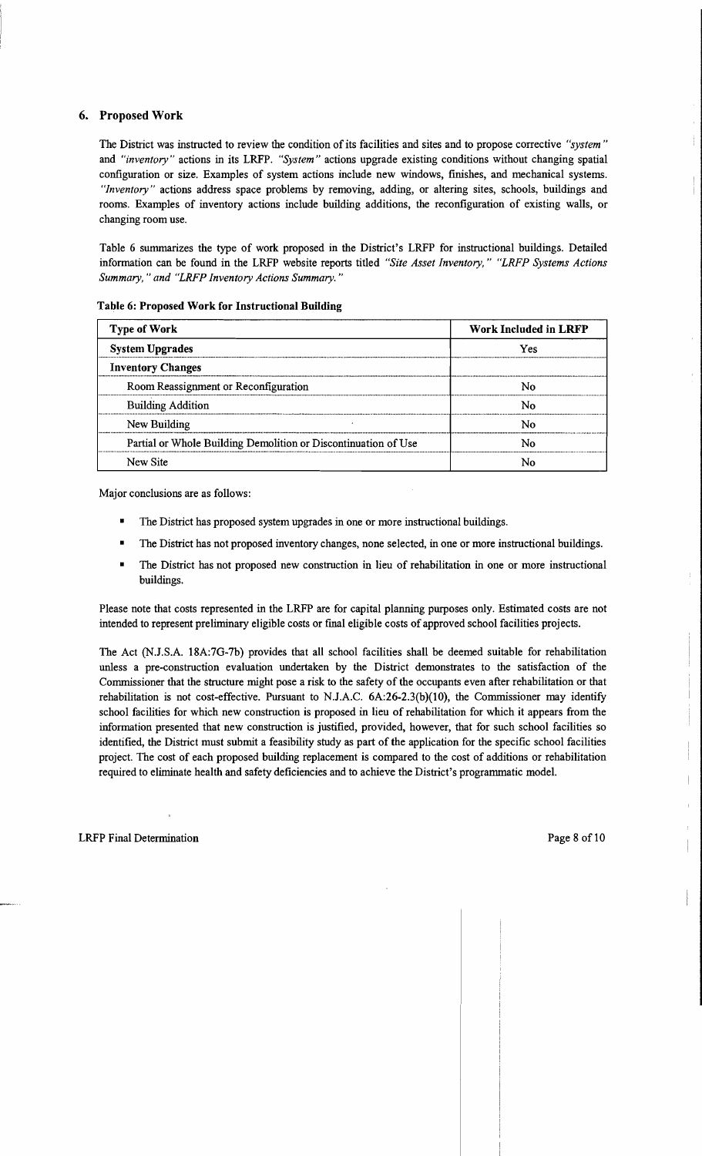## 6. Proposed Work

The District was instructed to review the condition of its facilities and sites and to propose corrective *"system"*  and *"inventory"* actions in its LRFP. *"System"* actions upgrade existing conditions without changing spatial configuration or size. Examples of system actions include new windows, finishes, and mechanical systems. *"Inventory"* actions address space problems by removing, adding, or altering sites, schools, buildings and rooms. Examples of inventory actions include building additions, the reconfiguration of existing walls, or changing room use.

Table 6 summarizes the type of work proposed in the District's LRFP for instructional buildings. Detailed information can be found in the LRFP website reports titled *"Site Asset Inventory," "LRFP Systems Actions Summary,* " *and "LRFP Inventory Actions Summary. "* 

| <b>Type of Work</b>                                            | Work Included in LRFP |
|----------------------------------------------------------------|-----------------------|
| <b>System Upgrades</b>                                         | Yes                   |
| <b>Inventory Changes</b>                                       |                       |
| Room Reassignment or Reconfiguration                           | N٥                    |
| <b>Building Addition</b>                                       | N٥                    |
| New Building                                                   | N٥                    |
| Partial or Whole Building Demolition or Discontinuation of Use | N٥                    |
| New Site                                                       | Ν٥                    |

#### Table 6: Proposed Work for Instructional Building

Major conclusions are as follows:

- The District has proposed system upgrades in one or more instructional buildings.
- The District has not proposed inventory changes, none selected, in one or more instructional buildings.
- The District has not proposed new construction in lieu of rehabilitation in one or more instructional buildings.

Please note that costs represented in the LRFP are for capital planning purposes only. Estimated costs are not intended to represent preliminary eligible costs or final eligible costs of approved school facilities projects.

The Act (NJ.S.A. 18A:7G-7b) provides that all school facilities shall be deemed suitable for rehabilitation unless a pre-construction evaluation undertaken by the District demonstrates to the satisfaction of the Commissioner that the structure might pose a risk to the safety of the occupants even after rehabilitation or that rehabilitation is not cost-effective. Pursuant to NJ.A.C. 6A:26-2.3(b)(10), the Commissioner may identify school facilities for which new construction is proposed in lieu of rehabilitation for which it appears from the information presented that new construction is justified, provided, however, that for such school facilities so identified, the District must submit a feasibility study as part of the application for the specific school facilities project. The cost of each proposed building replacement is compared to the cost of additions or rehabilitation required to eliminate health and safety deficiencies and to achieve the District's programmatic model.

 $\bar{1}$  $\mathcal{I}$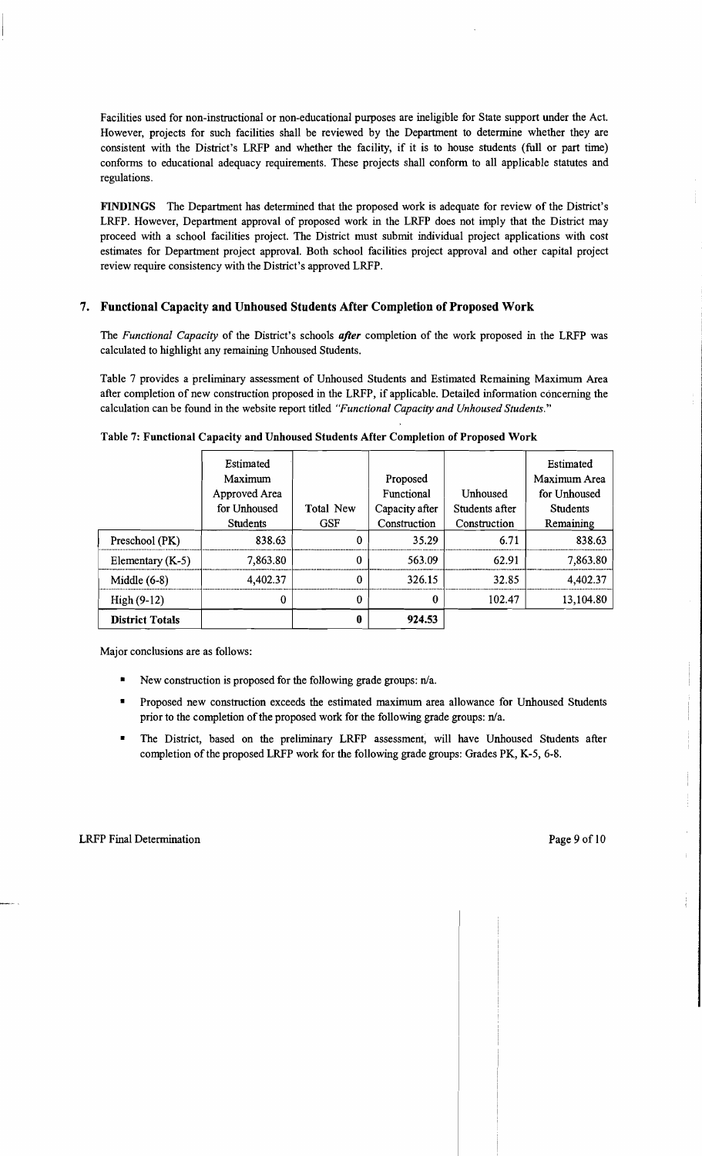Facilities used for non-instructional or non-educational purposes are ineligible for State support under the Act. However, projects for such facilities shall be reviewed by the Department to determine whether they are consistent with the District's LRFP and whether the facility, if it is to house students (full or part time) conforms to educational adequacy requirements. These projects shall conform to all applicable statutes and regulations.

FINDINGS The Department has determined that the proposed work is adequate for review of the District's LRFP. However, Department approval of proposed work in the LRFP does not imply that the District may proceed with a school facilities project. The District must submit individual project applications with cost estimates for Department project approval. Both school facilities project approval and other capital project review require consistency with the District's approved LRFP.

### 7. Functional Capacity and Unhoused Students After Completion of Proposed Work

The *Functional Capacity* of the District's schools *after* completion of the work proposed in the LRFP was calculated to highlight any remaining Unhoused Students.

Table 7 provides a preliminary assessment of Unhoused Students and Estimated Remaining Maximum Area after completion of new construction proposed in the LRFP, if applicable. Detailed information concerning the calculation can be found in the website report titled *"Functional Capacity and Unhoused Students."* 

|                        | Estimated       |            |                |                | Estimated       |
|------------------------|-----------------|------------|----------------|----------------|-----------------|
|                        | Maximum         |            | Proposed       |                | Maximum Area    |
|                        | Approved Area   |            | Functional     | Unhoused       | for Unhoused    |
|                        | for Unhoused    | Total New  | Capacity after | Students after | <b>Students</b> |
|                        | <b>Students</b> | <b>GSF</b> | Construction   | Construction   | Remaining       |
| Preschool (PK)         | 838.63          | $\bf{0}$   | 35.29          | 6.71           | 838.63          |
| Elementary $(K-5)$     | 7,863.80        | $\Omega$   | 563.09         | 62.91          | 7,863.80        |
| Middle $(6-8)$         | 4,402.37        | $\bf{0}$   | 326.15         | 32.85          | 4,402.37        |
| $High(9-12)$           | $\bf{0}$        | $\bf{0}$   | 0              | 102.47         | 13,104.80       |
| <b>District Totals</b> |                 | 0          | 924.53         |                |                 |

Table 7: Functional Capacity and Unhoused Students After Completion of Proposed Work

Major conclusions are as follows:

- New construction is proposed for the following grade groups:  $n/a$ .
- Proposed new construction exceeds the estimated maximum area allowance for Unhoused Students prior to the completion of the proposed work for the following grade groups:  $n/a$ .
- The District, based on the preliminary LRFP assessment, will have Unhoused Students after completion ofthe proposed LRFP work for the following grade groups: Grades PK, K-5, 6-8.